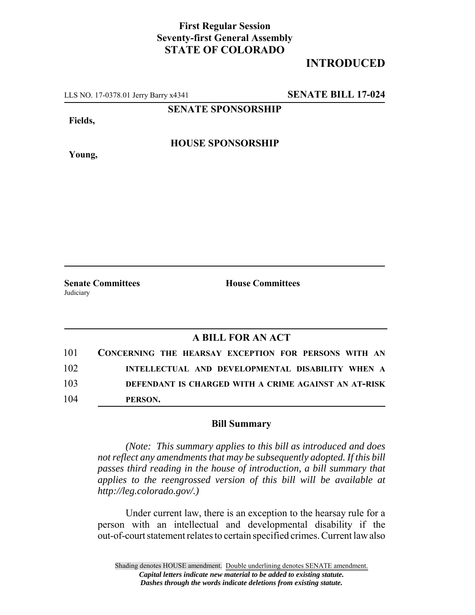## **First Regular Session Seventy-first General Assembly STATE OF COLORADO**

## **INTRODUCED**

LLS NO. 17-0378.01 Jerry Barry x4341 **SENATE BILL 17-024**

**SENATE SPONSORSHIP**

**Fields,**

**Young,**

**HOUSE SPONSORSHIP**

**Senate Committees House Committees** Judiciary

## **A BILL FOR AN ACT**

| 101 | CONCERNING THE HEARSAY EXCEPTION FOR PERSONS WITH AN |
|-----|------------------------------------------------------|
| 102 | INTELLECTUAL AND DEVELOPMENTAL DISABILITY WHEN A     |
| 103 | DEFENDANT IS CHARGED WITH A CRIME AGAINST AN AT-RISK |
| 104 | PERSON.                                              |

## **Bill Summary**

*(Note: This summary applies to this bill as introduced and does not reflect any amendments that may be subsequently adopted. If this bill passes third reading in the house of introduction, a bill summary that applies to the reengrossed version of this bill will be available at http://leg.colorado.gov/.)*

Under current law, there is an exception to the hearsay rule for a person with an intellectual and developmental disability if the out-of-court statement relates to certain specified crimes. Current law also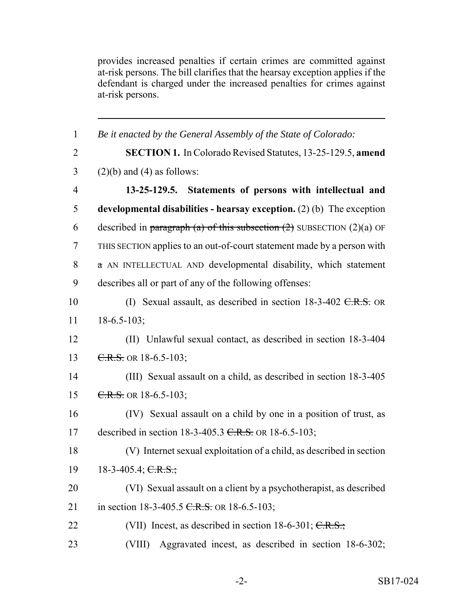provides increased penalties if certain crimes are committed against at-risk persons. The bill clarifies that the hearsay exception applies if the defendant is charged under the increased penalties for crimes against at-risk persons.

| $\mathbf{1}$   | Be it enacted by the General Assembly of the State of Colorado:            |
|----------------|----------------------------------------------------------------------------|
| $\overline{2}$ | <b>SECTION 1.</b> In Colorado Revised Statutes, 13-25-129.5, amend         |
| 3              | $(2)(b)$ and $(4)$ as follows:                                             |
| $\overline{4}$ | 13-25-129.5. Statements of persons with intellectual and                   |
| 5              | developmental disabilities - hearsay exception. $(2)$ (b) The exception    |
| 6              | described in paragraph (a) of this subsection $(2)$ SUBSECTION $(2)(a)$ OF |
| $\tau$         | THIS SECTION applies to an out-of-court statement made by a person with    |
| 8              | $\alpha$ AN INTELLECTUAL AND developmental disability, which statement     |
| 9              | describes all or part of any of the following offenses:                    |
| 10             | (I) Sexual assault, as described in section $18-3-402$ C.R.S. OR           |
| 11             | $18-6.5-103$ ;                                                             |
| 12             | (II) Unlawful sexual contact, as described in section 18-3-404             |
| 13             | $C.R.S.$ OR 18-6.5-103;                                                    |
| 14             | (III) Sexual assault on a child, as described in section 18-3-405          |
| 15             | $C.R.S.$ OR 18-6.5-103;                                                    |
| 16             | (IV) Sexual assault on a child by one in a position of trust, as           |
| 17             | described in section 18-3-405.3 $C.R.S.$ OR 18-6.5-103;                    |
| 18             | (V) Internet sexual exploitation of a child, as described in section       |
| 19             | 18-3-405.4; C.R.S.;                                                        |
| 20             | (VI) Sexual assault on a client by a psychotherapist, as described         |
| 21             | in section 18-3-405.5 C.R.S. OR 18-6.5-103;                                |
| 22             | (VII) Incest, as described in section 18-6-301; $C.R.S.;$                  |
| 23             | Aggravated incest, as described in section 18-6-302;<br>(VIII)             |